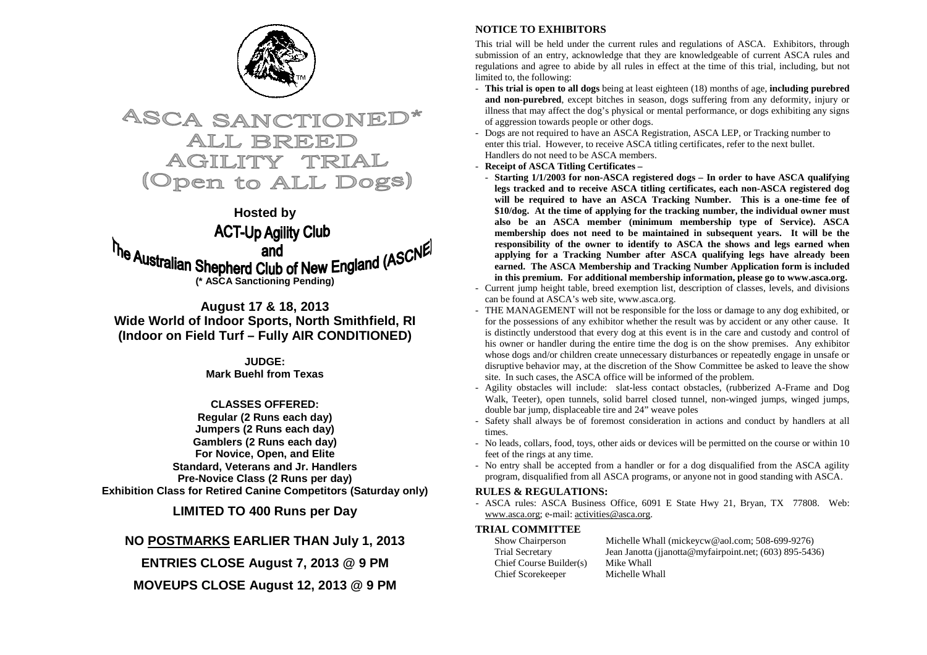

# **ASCA SANCTIONE** ALL BREEI AGIL TT (Open to ALL Dogs)

# **Hosted by**

**ACT-Up Agility Club** The Australian Shepherd Club of New England (ASCNE) **(\* ASCA Sanctioning Pending)**

**August 17 & 18, 2013 Wide World of Indoor Sports, North Smithfield, RI (Indoor on Field Turf – Fully AIR CONDITIONED)**

> **JUDGE: Mark Buehl from Texas**

# **CLASSES OFFERED:**

 **Regular (2 Runs each day) Jumpers (2 Runs each day) Gamblers (2 Runs each day) For Novice, Open, and Elite Standard, Veterans and Jr. Handlers Pre-Novice Class (2 Runs per day) Exhibition Class for Retired Canine Competitors (Saturday only)** 

**LIMITED TO 400 Runs per Day** 

# **NO POSTMARKS EARLIER THAN July 1, 2013**

**ENTRIES CLOSE August 7, 2013 @ 9 PM** 

**MOVEUPS CLOSE August 12, 2013 @ 9 PM** 

# **NOTICE TO EXHIBITORS**

This trial will be held under the current rules and regulations of ASCA. Exhibitors, through submission of an entry, acknowledge that they are knowledgeable of current ASCA rules and regulations and agree to abide by all rules in effect at the time of this trial, including, but not limited to, the following:

- **This trial is open to all dogs** being at least eighteen (18) months of age, **including purebred and non-purebred**, except bitches in season, dogs suffering from any deformity, injury or illness that may affect the dog's physical or mental performance, or dogs exhibiting any signs of aggression towards people or other dogs.
- Dogs are not required to have an ASCA Registration, ASCA LEP, or Tracking number to enter this trial. However, to receive ASCA titling certificates, refer to the next bullet. Handlers do not need to be ASCA members.
- **Receipt of ASCA Titling Certificates**
- **Starting 1/1/2003 for non-ASCA registered dogs In order to have ASCA qualifying legs tracked and to receive ASCA titling certificates, each non-ASCA registered dog will be required to have an ASCA Tracking Number. This is a one-time fee of \$10/dog. At the time of applying for the tracking number, the individual owner must also be an ASCA member (minimum membership type of Service). ASCA membership does not need to be maintained in subsequent years. It will be the responsibility of the owner to identify to ASCA the shows and legs earned when applying for a Tracking Number after ASCA qualifying legs have already been earned. The ASCA Membership and Tracking Number Application form is included in this premium. For additional membership information, please go to www.asca.org.**
- Current jump height table, breed exemption list, description of classes, levels, and divisions can be found at ASCA's web site, www.asca.org.
- THE MANAGEMENT will not be responsible for the loss or damage to any dog exhibited, or for the possessions of any exhibitor whether the result was by accident or any other cause. It is distinctly understood that every dog at this event is in the care and custody and control of his owner or handler during the entire time the dog is on the show premises. Any exhibitor whose dogs and/or children create unnecessary disturbances or repeatedly engage in unsafe or disruptive behavior may, at the discretion of the Show Committee be asked to leave the show site. In such cases, the ASCA office will be informed of the problem.
- Agility obstacles will include: slat-less contact obstacles, (rubberized A-Frame and Dog Walk, Teeter), open tunnels, solid barrel closed tunnel, non-winged jumps, winged jumps, double bar jump, displaceable tire and 24" weave poles
- Safety shall always be of foremost consideration in actions and conduct by handlers at all times.
- No leads, collars, food, toys, other aids or devices will be permitted on the course or within 10 feet of the rings at any time.
- No entry shall be accepted from a handler or for a dog disqualified from the ASCA agility program, disqualified from all ASCA programs, or anyone not in good standing with ASCA.

# **RULES & REGULATIONS:**

 - ASCA rules: ASCA Business Office, 6091 E State Hwy 21, Bryan, TX 77808. Web: www.asca.org; e-mail: activities@asca.org.

# **TRIAL COMMITTEE**

| Show Chairperson        | Michelle Whall (mickeycw@aol.com; 508-699-9276)         |
|-------------------------|---------------------------------------------------------|
| Trial Secretary         | Jean Janotta (jjanotta@myfairpoint.net; (603) 895-5436) |
| Chief Course Builder(s) | Mike Whall                                              |
| Chief Scorekeeper       | Michelle Whall                                          |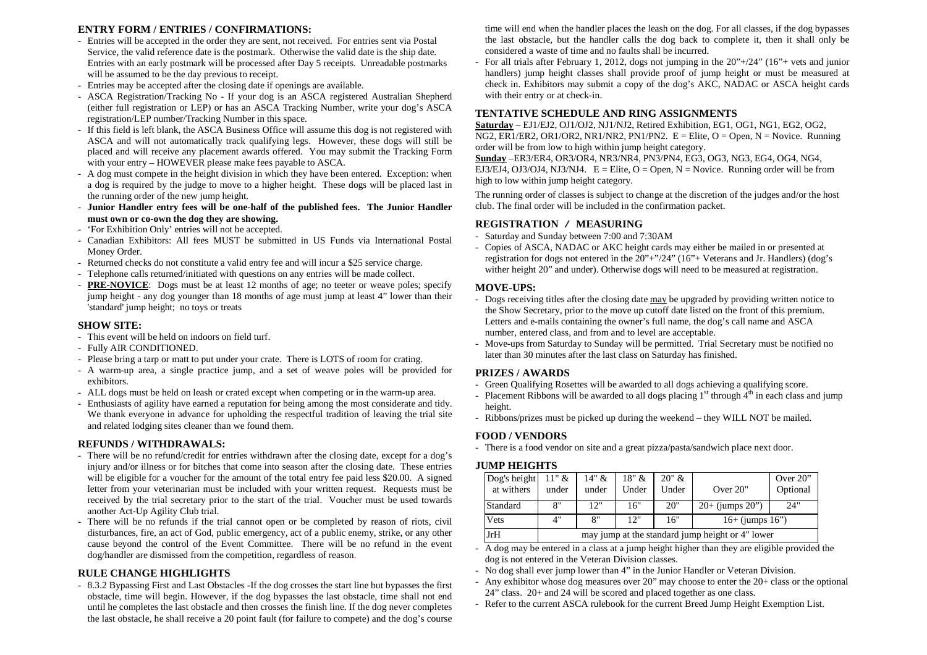# **ENTRY FORM / ENTRIES / CONFIRMATIONS:**

- Entries will be accepted in the order they are sent, not received. For entries sent via Postal Service, the valid reference date is the postmark. Otherwise the valid date is the ship date. Entries with an early postmark will be processed after Day 5 receipts. Unreadable postmarks will be assumed to be the day previous to receipt.
- Entries may be accepted after the closing date if openings are available.
- ASCA Registration/Tracking No If your dog is an ASCA registered Australian Shepherd (either full registration or LEP) or has an ASCA Tracking Number, write your dog's ASCA registration/LEP number/Tracking Number in this space.
- If this field is left blank, the ASCA Business Office will assume this dog is not registered with ASCA and will not automatically track qualifying legs. However, these dogs will still be placed and will receive any placement awards offered. You may submit the Tracking Form with your entry – HOWEVER please make fees payable to ASCA.
- A dog must compete in the height division in which they have been entered. Exception: when a dog is required by the judge to move to a higher height. These dogs will be placed last in the running order of the new jump height.
- **Junior Handler entry fees will be one-half of the published fees. The Junior Handler must own or co-own the dog they are showing.**
- 'For Exhibition Only' entries will not be accepted.
- Canadian Exhibitors: All fees MUST be submitted in US Funds via International Postal Money Order.
- Returned checks do not constitute a valid entry fee and will incur a \$25 service charge.
- Telephone calls returned/initiated with questions on any entries will be made collect.
- **PRE-NOVICE**: Dogs must be at least 12 months of age; no teeter or weave poles; specify jump height - any dog younger than 18 months of age must jump at least 4" lower than their 'standard' jump height; no toys or treats

#### **SHOW SITE:**

- This event will be held on indoors on field turf.
- Fully AIR CONDITIONED.
- Please bring a tarp or matt to put under your crate. There is LOTS of room for crating.
- A warm-up area, a single practice jump, and a set of weave poles will be provided for exhibitors.
- ALL dogs must be held on leash or crated except when competing or in the warm-up area.
- Enthusiasts of agility have earned a reputation for being among the most considerate and tidy. We thank everyone in advance for upholding the respectful tradition of leaving the trial site and related lodging sites cleaner than we found them.

#### **REFUNDS / WITHDRAWALS:**

- There will be no refund/credit for entries withdrawn after the closing date, except for a dog's injury and/or illness or for bitches that come into season after the closing date. These entries will be eligible for a voucher for the amount of the total entry fee paid less \$20.00. A signed letter from your veterinarian must be included with your written request. Requests must be received by the trial secretary prior to the start of the trial. Voucher must be used towards another Act-Up Agility Club trial.
- There will be no refunds if the trial cannot open or be completed by reason of riots, civil disturbances, fire, an act of God, public emergency, act of a public enemy, strike, or any other cause beyond the control of the Event Committee. There will be no refund in the event dog/handler are dismissed from the competition, regardless of reason.

# **RULE CHANGE HIGHLIGHTS**

 - 8.3.2 Bypassing First and Last Obstacles -If the dog crosses the start line but bypasses the first obstacle, time will begin. However, if the dog bypasses the last obstacle, time shall not end until he completes the last obstacle and then crosses the finish line. If the dog never completes the last obstacle, he shall receive a 20 point fault (for failure to compete) and the dog's course time will end when the handler places the leash on the dog. For all classes, if the dog bypasses the last obstacle, but the handler calls the dog back to complete it, then it shall only be considered a waste of time and no faults shall be incurred.

 - For all trials after February 1, 2012, dogs not jumping in the 20"+/24" (16"+ vets and junior handlers) jump height classes shall provide proof of jump height or must be measured at check in. Exhibitors may submit a copy of the dog's AKC, NADAC or ASCA height cards with their entry or at check-in.

## **TENTATIVE SCHEDULE AND RING ASSIGNMENTS**

 **Saturday** – EJ1/EJ2, OJ1/OJ2, NJ1/NJ2, Retired Exhibition, EG1, OG1, NG1, EG2, OG2, NG2, ER1/ER2, OR1/OR2, NR1/NR2, PN1/PN2.  $E =$  Elite, O = Open, N = Novice. Running order will be from low to high within jump height category.

 **Sunday** –ER3/ER4, OR3/OR4, NR3/NR4, PN3/PN4, EG3, OG3, NG3, EG4, OG4, NG4, EJ3/EJ4, OJ3/OJ4, NJ3/NJ4.  $E =$  Elite, O = Open, N = Novice. Running order will be from high to low within jump height category.

The running order of classes is subject to change at the discretion of the judges and/or the host club. The final order will be included in the confirmation packet.

## **REGISTRATION / MEASURING**

- Saturday and Sunday between 7:00 and 7:30AM
- Copies of ASCA, NADAC or AKC height cards may either be mailed in or presented at registration for dogs not entered in the  $20"$ +"/24" (16"+ Veterans and Jr. Handlers) (dog's wither height 20" and under). Otherwise dogs will need to be measured at registration.

#### **MOVE-UPS:**

- Dogs receiving titles after the closing date may be upgraded by providing written notice to the Show Secretary, prior to the move up cutoff date listed on the front of this premium. Letters and e-mails containing the owner's full name, the dog's call name and ASCA number, entered class, and from and to level are acceptable.
- Move-ups from Saturday to Sunday will be permitted. Trial Secretary must be notified no later than 30 minutes after the last class on Saturday has finished.

#### **PRIZES / AWARDS**

- Green Qualifying Rosettes will be awarded to all dogs achieving a qualifying score.
- Placement Ribbons will be awarded to all dogs placing  $1<sup>st</sup>$  through  $4<sup>th</sup>$  in each class and jump height.
- Ribbons/prizes must be picked up during the weekend they WILL NOT be mailed.

# **FOOD / VENDORS**

- There is a food vendor on site and a great pizza/pasta/sandwich place next door.

#### **JUMP HEIGHTS**

| Dog's height<br>at withers | $11"$ &<br>under | $14" \&$<br>under | 18" &<br>Under | 20" &<br>Under | Over 20"                                         | Over $20$ "<br>Optional |  |
|----------------------------|------------------|-------------------|----------------|----------------|--------------------------------------------------|-------------------------|--|
| Standard                   | 8"               | 12"               | 16"            | 20"            | $20+$ (jumps $20$ ")                             | 24"                     |  |
| Vets                       | 4"               | 8"                | 12"            | 16"            | $16+$ (jumps $16$ ")                             |                         |  |
| JrH                        |                  |                   |                |                | may jump at the standard jump height or 4" lower |                         |  |

- A dog may be entered in a class at a jump height higher than they are eligible provided the dog is not entered in the Veteran Division classes.
- No dog shall ever jump lower than 4" in the Junior Handler or Veteran Division.
- Any exhibitor whose dog measures over 20" may choose to enter the 20+ class or the optional 24" class. 20+ and 24 will be scored and placed together as one class.
- Refer to the current ASCA rulebook for the current Breed Jump Height Exemption List.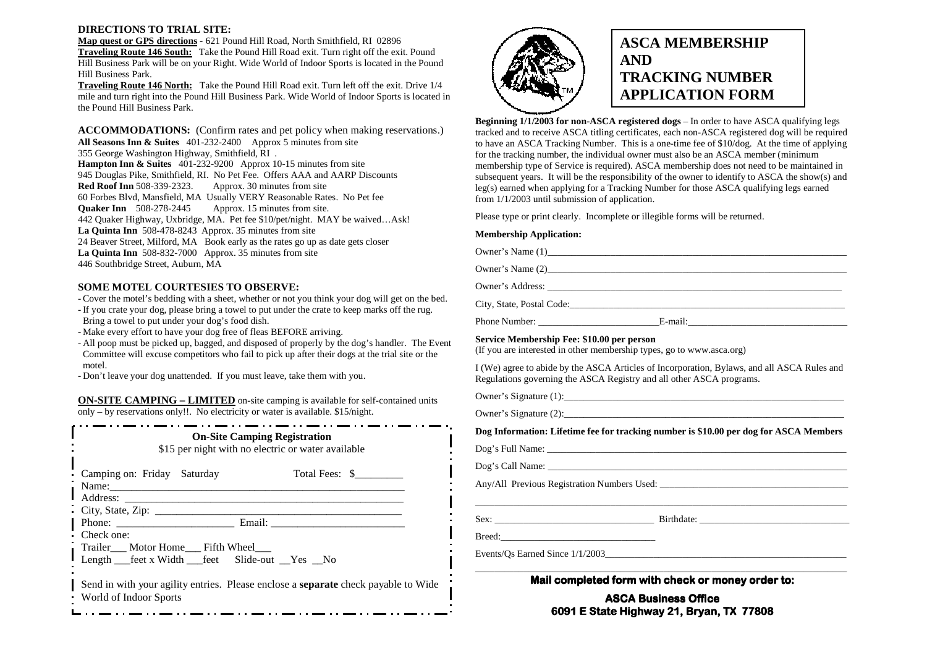#### **DIRECTIONS TO TRIAL SITE:**

 **Map quest or GPS directions** - 621 Pound Hill Road, North Smithfield, RI 02896 **Traveling Route 146 South:** Take the Pound Hill Road exit. Turn right off the exit. Pound Hill Business Park will be on your Right. Wide World of Indoor Sports is located in the Pound Hill Business Park.

 **Traveling Route 146 North:** Take the Pound Hill Road exit. Turn left off the exit. Drive 1/4 mile and turn right into the Pound Hill Business Park. Wide World of Indoor Sports is located in the Pound Hill Business Park.

**ACCOMMODATIONS:** (Confirm rates and pet policy when making reservations.) **All Seasons Inn & Suites** 401-232-2400 Approx 5 minutes from site 355 George Washington Highway, Smithfield, RI . **Hampton Inn & Suites** 401-232-9200 Approx 10-15 minutes from site 945 Douglas Pike, Smithfield, RI. No Pet Fee. Offers AAA and AARP Discounts **Red Roof Inn** 508-339-2323. Approx. 30 minutes from site 60 Forbes Blvd, Mansfield, MA Usually VERY Reasonable Rates. No Pet fee **Quaker Inn** 508-278-2445 Approx. 15 minutes from site. 442 Quaker Highway, Uxbridge, MA. Pet fee \$10/pet/night. MAY be waived…Ask! **La Quinta Inn** 508-478-8243 Approx. 35 minutes from site 24 Beaver Street, Milford, MA Book early as the rates go up as date gets closer **La Quinta Inn** 508-832-7000 Approx. 35 minutes from site 446 Southbridge Street, Auburn, MA

## **SOME MOTEL COURTESIES TO OBSERVE:**

- Cover the motel's bedding with a sheet, whether or not you think your dog will get on the bed.

- If you crate your dog, please bring a towel to put under the crate to keep marks off the rug. Bring a towel to put under your dog's food dish.

- Make every effort to have your dog free of fleas BEFORE arriving.

- All poop must be picked up, bagged, and disposed of properly by the dog's handler. The Event Committee will excuse competitors who fail to pick up after their dogs at the trial site or the motel.

- Don't leave your dog unattended. If you must leave, take them with you.

**ON-SITE CAMPING – LIMITED** on-site camping is available for self-contained units<br>only a hypergrations only label algorithment was available \$15/night. only – by reservations only!!. No electricity or water is available. \$15/night.

| <b>On-Site Camping Registration</b><br>\$15 per night with no electric or water available                             |                |
|-----------------------------------------------------------------------------------------------------------------------|----------------|
| Camping on: Friday Saturday<br>Name: $\_\_\_\_\_\_\_\_\_\_\_\_$                                                       | Total Fees: \$ |
|                                                                                                                       |                |
|                                                                                                                       | Email:         |
| $\cdot$ Check one:                                                                                                    |                |
| Trailer ___ Motor Home___ Fifth Wheel___                                                                              |                |
| Length feet x Width feet Slide-out Yes No                                                                             |                |
| Send in with your agility entries. Please enclose a <b>separate</b> check payable to Wide<br>• World of Indoor Sports |                |



# **ASCA MEMBERSHIP AND TRACKING NUMBER APPLICATION FORM**

**Beginning 1/1/2003 for non-ASCA registered dogs** – In order to have ASCA qualifying legs tracked and to receive ASCA titling certificates, each non-ASCA registered dog will be required to have an ASCA Tracking Number. This is a one-time fee of \$10/dog. At the time of applying for the tracking number, the individual owner must also be an ASCA member (minimum membership type of Service is required). ASCA membership does not need to be maintained in subsequent years. It will be the responsibility of the owner to identify to ASCA the show(s) and leg(s) earned when applying for a Tracking Number for those ASCA qualifying legs earned from 1/1/2003 until submission of application.

Please type or print clearly. Incomplete or illegible forms will be returned.

#### **Membership Application:**

|                                                                                                                   | City, State, Postal Code: |
|-------------------------------------------------------------------------------------------------------------------|---------------------------|
|                                                                                                                   |                           |
| $\alpha$ is the set of $\alpha$ and $\alpha$ is the set of $\alpha$ is the set of $\alpha$ is the set of $\alpha$ |                           |

# **Service Membership Fee: \$10.00 per person**

(If you are interested in other membership types, go to www.asca.org)

I (We) agree to abide by the ASCA Articles of Incorporation, Bylaws, and all ASCA Rules and Regulations governing the ASCA Registry and all other ASCA programs.

Owner's Signature (1):

Owner's Signature (2):\_\_\_\_\_\_\_\_\_\_\_\_\_\_\_\_\_\_\_\_\_\_\_\_\_\_\_\_\_\_\_\_\_\_\_\_\_\_\_\_\_\_\_\_\_\_\_\_\_\_\_\_\_\_\_\_\_\_

**Dog Information: Lifetime fee for tracking number is \$10.00 per dog for ASCA Members** 

Dog's Call Name: \_\_\_\_\_\_\_\_\_\_\_\_\_\_\_\_\_\_\_\_\_\_\_\_\_\_\_\_\_\_\_\_\_\_\_\_\_\_\_\_\_\_\_\_\_\_\_\_\_\_\_\_\_\_\_\_\_\_\_\_\_\_

Any/All Previous Registration Numbers Used: \_\_\_\_\_\_\_\_\_\_\_\_\_\_\_\_\_\_\_\_\_\_\_\_\_\_\_\_\_\_\_\_\_\_\_\_\_\_\_ \_\_\_\_\_\_\_\_\_\_\_\_\_\_\_\_\_\_\_\_\_\_\_\_\_\_\_\_\_\_\_\_\_\_\_\_\_\_\_\_\_\_\_\_\_\_\_\_\_\_\_\_\_\_\_\_\_\_\_\_\_\_\_\_\_\_\_\_\_\_\_\_\_\_\_\_\_

Sex: \_\_\_\_\_\_\_\_\_\_\_\_\_\_\_\_\_\_\_\_\_\_\_\_\_\_\_\_\_\_\_\_\_ Birthdate: \_\_\_\_\_\_\_\_\_\_\_\_\_\_\_\_\_\_\_\_\_\_\_\_\_\_\_\_\_\_\_

Breed:\_\_\_\_\_\_\_\_\_\_\_\_\_\_\_\_\_\_\_\_\_\_\_\_\_\_\_\_\_\_\_\_

Events/Os Earned Since  $1/1/2003$ 

# **Mail completed form with check or money order to:**

# **ASCA Business Office 6091 E State Highway 21, Bryan, TX 77808**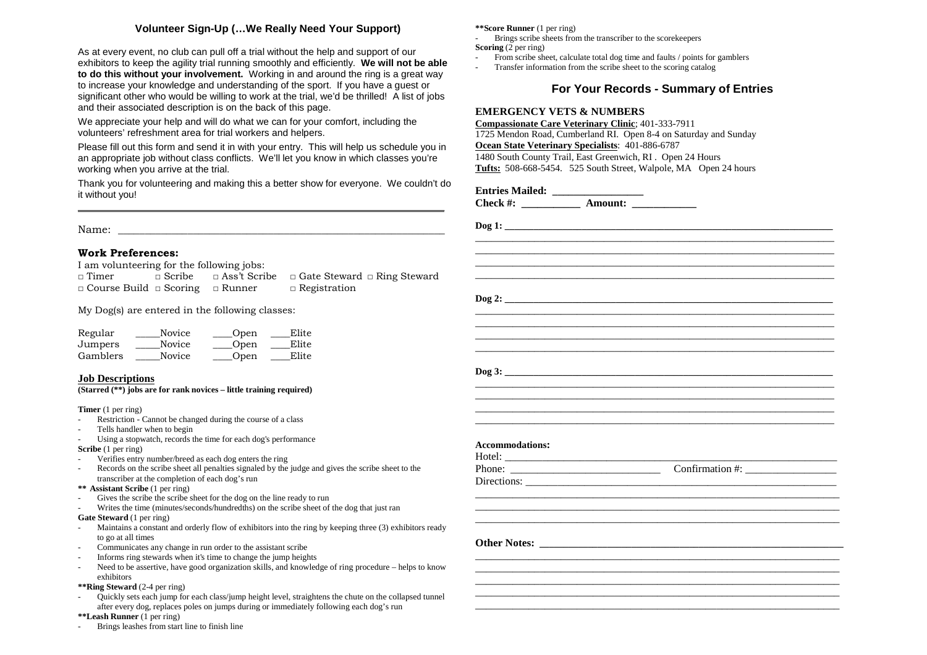# **Volunteer Sign-Up (…We Really Need Your Support)**

As at every event, no club can pull off a trial without the help and support of our exhibitors to keep the agility trial running smoothly and efficiently. **We will not be able to do this without your involvement.** Working in and around the ring is a great way to increase your knowledge and understanding of the sport. If you have a guest or significant other who would be willing to work at the trial, we'd be thrilled! A list of jobs and their associated description is on the back of this page.

We appreciate your help and will do what we can for your comfort, including the volunteers' refreshment area for trial workers and helpers.

Please fill out this form and send it in with your entry. This will help us schedule you in an appropriate job without class conflicts. We'll let you know in which classes you're working when you arrive at the trial.

Thank you for volunteering and making this a better show for everyone. We couldn't do it without you! **\_\_\_\_\_\_\_\_\_\_\_\_\_\_\_\_\_\_\_\_\_\_\_\_\_\_\_\_\_\_\_\_\_\_\_\_\_\_\_\_\_\_\_\_\_\_\_\_\_\_\_\_\_\_\_\_\_\_\_\_\_\_\_\_\_\_\_\_\_\_\_\_\_\_\_\_** 

 $Name:$ 

#### **Work Preferences:**

I am volunteering for the following jobs:

| $\Box$ Timer                                     | $\Box$ Scribe | $\Box$ Ass't Scribe $\Box$ Gate Steward $\Box$ Ring Steward |
|--------------------------------------------------|---------------|-------------------------------------------------------------|
| $\Box$ Course Build $\Box$ Scoring $\Box$ Runner |               | $\Box$ Registration                                         |

My Dog(s) are entered in the following classes:

| Regular  | Novice | Open | Elite |
|----------|--------|------|-------|
| Jumpers  | Novice | Open | Elite |
| Gamblers | Novice | Open | Elite |

#### **Job Descriptions**

**(Starred (\*\*) jobs are for rank novices – little training required)** 

**Timer** (1 per ring)

- Restriction Cannot be changed during the course of a class
- Tells handler when to begin
- Using a stopwatch, records the time for each dog's performance

#### **Scribe** (1 per ring)

- Verifies entry number/breed as each dog enters the ring -
- Records on the scribe sheet all penalties signaled by the judge and gives the scribe sheet to the transcriber at the completion of each dog's run

# **\*\* Assistant Scribe** (1 per ring) -

- 
- Gives the scribe the scribe sheet for the dog on the line ready to run Writes the time (minutes/seconds/hundredths) on the scribe sheet of the dog that just ran
- **Gate Steward** (1 per ring)
- Maintains a constant and orderly flow of exhibitors into the ring by keeping three (3) exhibitors ready to go at all times
- Communicates any change in run order to the assistant scribe
- Informs ring stewards when it's time to change the jump heights
- Informs ring stewards when it's time to change the jump heights<br>- Need to be assertive, have good organization skills, and knowledge of ring procedure helps to know exhibitors

# **\*\*Ring Steward** (2-4 per ring)<br>Duickly sets each jump for

 Quickly sets each jump for each class/jump height level, straightens the chute on the collapsed tunnel after every dog, replaces poles on jumps during or immediately following each dog's run

# **\*\*Leash Runner** (1 per ring) -

Brings leashes from start line to finish line

- **\*\*Score Runner** (1 per ring) -
- Brings scribe sheets from the transcriber to the scorekeepers **Scoring** (2 per ring)<br>From scribe she
- From scribe sheet, calculate total dog time and faults / points for gamblers
- Transfer information from the scribe sheet to the scoring catalog

# **For Your Records - Summary of Entries**

\_\_\_\_\_\_\_\_\_\_\_\_\_\_\_\_\_\_\_\_\_\_\_\_\_\_\_\_\_\_\_\_\_\_\_\_\_\_\_\_\_\_\_\_\_\_\_\_\_\_\_\_\_\_\_\_\_\_\_\_\_\_\_\_\_\_\_ \_\_\_\_\_\_\_\_\_\_\_\_\_\_\_\_\_\_\_\_\_\_\_\_\_\_\_\_\_\_\_\_\_\_\_\_\_\_\_\_\_\_\_\_\_\_\_\_\_\_\_\_\_\_\_\_\_\_\_\_\_\_\_\_\_\_\_ \_\_\_\_\_\_\_\_\_\_\_\_\_\_\_\_\_\_\_\_\_\_\_\_\_\_\_\_\_\_\_\_\_\_\_\_\_\_\_\_\_\_\_\_\_\_\_\_\_\_\_\_\_\_\_\_\_\_\_\_\_\_\_\_\_\_\_ \_\_\_\_\_\_\_\_\_\_\_\_\_\_\_\_\_\_\_\_\_\_\_\_\_\_\_\_\_\_\_\_\_\_\_\_\_\_\_\_\_\_\_\_\_\_\_\_\_\_\_\_\_\_\_\_\_\_\_\_\_\_\_\_\_\_\_

 $\log 2$ :

\_\_\_\_\_\_\_\_\_\_\_\_\_\_\_\_\_\_\_\_\_\_\_\_\_\_\_\_\_\_\_\_\_\_\_\_\_\_\_\_\_\_\_\_\_\_\_\_\_\_\_\_\_\_\_\_\_\_\_\_\_\_\_\_\_\_\_ \_\_\_\_\_\_\_\_\_\_\_\_\_\_\_\_\_\_\_\_\_\_\_\_\_\_\_\_\_\_\_\_\_\_\_\_\_\_\_\_\_\_\_\_\_\_\_\_\_\_\_\_\_\_\_\_\_\_\_\_\_\_\_\_\_\_\_ \_\_\_\_\_\_\_\_\_\_\_\_\_\_\_\_\_\_\_\_\_\_\_\_\_\_\_\_\_\_\_\_\_\_\_\_\_\_\_\_\_\_\_\_\_\_\_\_\_\_\_\_\_\_\_\_\_\_\_\_\_\_\_\_\_\_\_ \_\_\_\_\_\_\_\_\_\_\_\_\_\_\_\_\_\_\_\_\_\_\_\_\_\_\_\_\_\_\_\_\_\_\_\_\_\_\_\_\_\_\_\_\_\_\_\_\_\_\_\_\_\_\_\_\_\_\_\_\_\_\_\_\_\_\_

\_\_\_\_\_\_\_\_\_\_\_\_\_\_\_\_\_\_\_\_\_\_\_\_\_\_\_\_\_\_\_\_\_\_\_\_\_\_\_\_\_\_\_\_\_\_\_\_\_\_\_\_\_\_\_\_\_\_\_\_\_\_\_\_\_\_\_ \_\_\_\_\_\_\_\_\_\_\_\_\_\_\_\_\_\_\_\_\_\_\_\_\_\_\_\_\_\_\_\_\_\_\_\_\_\_\_\_\_\_\_\_\_\_\_\_\_\_\_\_\_\_\_\_\_\_\_\_\_\_\_\_\_\_\_ \_\_\_\_\_\_\_\_\_\_\_\_\_\_\_\_\_\_\_\_\_\_\_\_\_\_\_\_\_\_\_\_\_\_\_\_\_\_\_\_\_\_\_\_\_\_\_\_\_\_\_\_\_\_\_\_\_\_\_\_\_\_\_\_\_\_\_ \_\_\_\_\_\_\_\_\_\_\_\_\_\_\_\_\_\_\_\_\_\_\_\_\_\_\_\_\_\_\_\_\_\_\_\_\_\_\_\_\_\_\_\_\_\_\_\_\_\_\_\_\_\_\_\_\_\_\_\_\_\_\_\_\_\_\_

\_\_\_\_\_\_\_\_\_\_\_\_\_\_\_\_\_\_\_\_\_\_\_\_\_\_\_\_\_\_\_\_\_\_\_\_\_\_\_\_\_\_\_\_\_\_\_\_\_\_\_\_\_\_\_\_\_\_\_\_\_\_\_\_\_\_\_\_ \_\_\_\_\_\_\_\_\_\_\_\_\_\_\_\_\_\_\_\_\_\_\_\_\_\_\_\_\_\_\_\_\_\_\_\_\_\_\_\_\_\_\_\_\_\_\_\_\_\_\_\_\_\_\_\_\_\_\_\_\_\_\_\_\_\_\_\_ \_\_\_\_\_\_\_\_\_\_\_\_\_\_\_\_\_\_\_\_\_\_\_\_\_\_\_\_\_\_\_\_\_\_\_\_\_\_\_\_\_\_\_\_\_\_\_\_\_\_\_\_\_\_\_\_\_\_\_\_\_\_\_\_\_\_\_\_ \_\_\_\_\_\_\_\_\_\_\_\_\_\_\_\_\_\_\_\_\_\_\_\_\_\_\_\_\_\_\_\_\_\_\_\_\_\_\_\_\_\_\_\_\_\_\_\_\_\_\_\_\_\_\_\_\_\_\_\_\_\_\_\_\_\_\_\_ \_\_\_\_\_\_\_\_\_\_\_\_\_\_\_\_\_\_\_\_\_\_\_\_\_\_\_\_\_\_\_\_\_\_\_\_\_\_\_\_\_\_\_\_\_\_\_\_\_\_\_\_\_\_\_\_\_\_\_\_\_\_\_\_\_\_\_\_

#### **EMERGENCY VETS & NUMBERS**

 **Compassionate Care Veterinary Clinic**; 401-333-7911 1725 Mendon Road, Cumberland RI. Open 8-4 on Saturday and Sunday **Ocean State Veterinary Specialists**: 401-886-6787

 1480 South County Trail, East Greenwich, RI . Open 24 Hours **Tufts:** 508-668-5454. 525 South Street, Walpole, MA Open 24 hours

# **Entries Mailed: \_\_\_\_\_\_\_\_\_\_\_\_\_\_\_\_\_**

**Check #: Amount:**  $\blacksquare$ 

 $\log 1:$ 

 $\log 3:$ 

#### **Accommodations:**

Directions: \_\_\_\_\_\_\_\_\_\_\_\_\_\_\_\_\_\_\_\_\_\_\_\_\_\_\_\_\_\_\_\_\_\_\_\_\_\_\_\_\_\_\_\_\_\_\_\_\_\_\_\_\_\_\_\_\_\_ \_\_\_\_\_\_\_\_\_\_\_\_\_\_\_\_\_\_\_\_\_\_\_\_\_\_\_\_\_\_\_\_\_\_\_\_\_\_\_\_\_\_\_\_\_\_\_\_\_\_\_\_\_\_\_\_\_\_\_\_\_\_\_\_\_\_\_\_ \_\_\_\_\_\_\_\_\_\_\_\_\_\_\_\_\_\_\_\_\_\_\_\_\_\_\_\_\_\_\_\_\_\_\_\_\_\_\_\_\_\_\_\_\_\_\_\_\_\_\_\_\_\_\_\_\_\_\_\_\_\_\_\_\_\_\_\_ \_\_\_\_\_\_\_\_\_\_\_\_\_\_\_\_\_\_\_\_\_\_\_\_\_\_\_\_\_\_\_\_\_\_\_\_\_\_\_\_\_\_\_\_\_\_\_\_\_\_\_\_\_\_\_\_\_\_\_\_\_\_\_\_\_\_\_\_

Phone: Confirmation #:

## **Other Notes: \_\_\_\_\_\_\_\_\_\_\_\_\_\_\_\_\_\_\_\_\_\_\_\_\_\_\_\_\_\_\_\_\_\_\_\_\_\_\_\_\_\_\_\_\_\_\_\_\_\_\_\_\_\_\_\_\_\_\_\_\_\_\_**

# Hotel: \_\_\_\_\_\_\_\_\_\_\_\_\_\_\_\_\_\_\_\_\_\_\_\_\_\_\_\_\_\_\_\_\_\_\_\_\_\_\_\_\_\_\_\_\_\_\_\_\_\_\_\_\_\_\_\_\_\_\_\_\_\_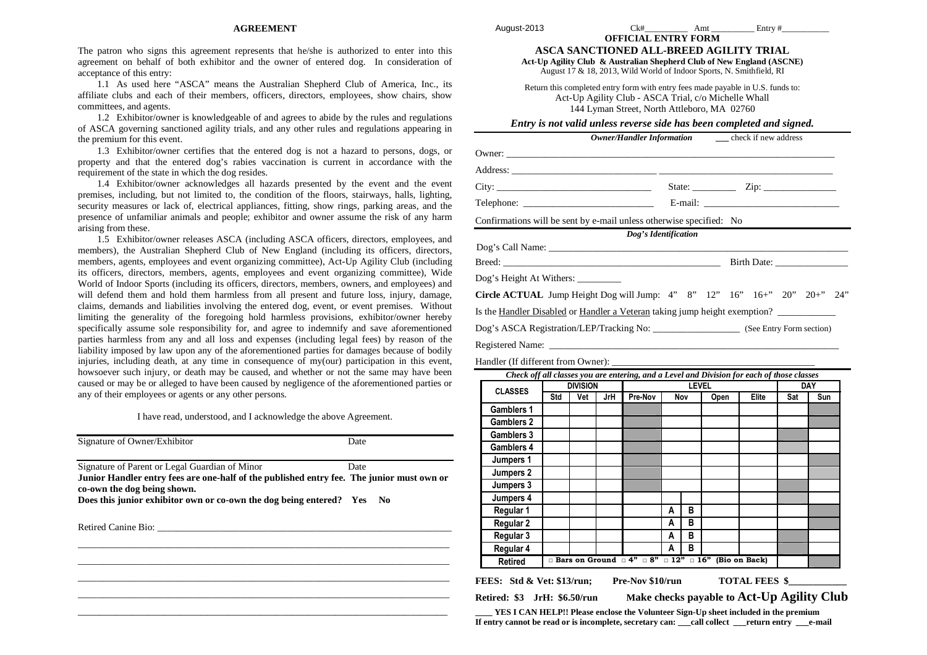#### **AGREEMENT**

The patron who signs this agreement represents that he/she is authorized to enter into this agreement on behalf of both exhibitor and the owner of entered dog. In consideration of acceptance of this entry:

 1.1 As used here "ASCA" means the Australian Shepherd Club of America, Inc., its affiliate clubs and each of their members, officers, directors, employees, show chairs, show committees, and agents.

1.2 Exhibitor/owner is knowledgeable of and agrees to abide by the rules and regulations of ASCA governing sanctioned agility trials, and any other rules and regulations appearing in the premium for this event.

 1.3 Exhibitor/owner certifies that the entered dog is not a hazard to persons, dogs, or property and that the entered dog's rabies vaccination is current in accordance with the requirement of the state in which the dog resides.

 1.4 Exhibitor/owner acknowledges all hazards presented by the event and the event premises, including, but not limited to, the condition of the floors, stairways, halls, lighting, security measures or lack of, electrical appliances, fitting, show rings, parking areas, and the presence of unfamiliar animals and people; exhibitor and owner assume the risk of any harm arising from these.

 1.5 Exhibitor/owner releases ASCA (including ASCA officers, directors, employees, and members), the Australian Shepherd Club of New England (including its officers, directors, members, agents, employees and event organizing committee), Act-Up Agility Club (including its officers, directors, members, agents, employees and event organizing committee), Wide World of Indoor Sports (including its officers, directors, members, owners, and employees) and will defend them and hold them harmless from all present and future loss, injury, damage, claims, demands and liabilities involving the entered dog, event, or event premises. Without limiting the generality of the foregoing hold harmless provisions, exhibitor/owner hereby specifically assume sole responsibility for, and agree to indemnify and save aforementioned parties harmless from any and all loss and expenses (including legal fees) by reason of the liability imposed by law upon any of the aforementioned parties for damages because of bodily injuries, including death, at any time in consequence of my(our) participation in this event, howsoever such injury, or death may be caused, and whether or not the same may have been caused or may be or alleged to have been caused by negligence of the aforementioned parties or any of their employees or agents or any other persons.

I have read, understood, and I acknowledge the above Agreement.

| Signature of Owner/Exhibitor                                                                                                                | Date |
|---------------------------------------------------------------------------------------------------------------------------------------------|------|
| Signature of Parent or Legal Guardian of Minor<br>Junior Handler entry fees are one-half of the published entry fee. The junior must own or | Date |
| co-own the dog being shown.                                                                                                                 |      |
| Does this junior exhibitor own or co-own the dog being entered? Yes No                                                                      |      |
| Retired Canine Bio:                                                                                                                         |      |
|                                                                                                                                             |      |
|                                                                                                                                             |      |
|                                                                                                                                             |      |
|                                                                                                                                             |      |

|                                                                            | State: $\frac{\text{Zip: } }{ \text{Zip: } \text{ } }$ |             |  |  |
|----------------------------------------------------------------------------|--------------------------------------------------------|-------------|--|--|
|                                                                            |                                                        |             |  |  |
| Confirmations will be sent by e-mail unless otherwise specified: No        |                                                        |             |  |  |
| Dog's Identification                                                       |                                                        |             |  |  |
|                                                                            |                                                        |             |  |  |
|                                                                            |                                                        | Birth Date: |  |  |
|                                                                            |                                                        |             |  |  |
| Circle ACTUAL Jump Height Dog will Jump: 4" 8" 12" 16" 16+" 20" 20+" 24    |                                                        |             |  |  |
| Is the Handler Disabled or Handler a Veteran taking jump height exemption? |                                                        |             |  |  |
|                                                                            |                                                        |             |  |  |
|                                                                            |                                                        |             |  |  |

| August 17 & 18, 2013, Wild World of Indoor Sports, N. Smithfield, RI                                 | Return this completed entry form with entry fees made payable in U.S. funds to: |                        |       | Act-Up Agility Club - ASCA Trial, c/o Michelle Whall                                       |   |                     |      |       |                   |
|------------------------------------------------------------------------------------------------------|---------------------------------------------------------------------------------|------------------------|-------|--------------------------------------------------------------------------------------------|---|---------------------|------|-------|-------------------|
|                                                                                                      |                                                                                 |                        |       | 144 Lyman Street, North Attleboro, MA 02760                                                |   |                     |      |       |                   |
|                                                                                                      |                                                                                 |                        |       | Entry is not valid unless reverse side has been completed and signed.                      |   |                     |      |       |                   |
|                                                                                                      |                                                                                 |                        |       | Owner/Handler Information _______ check if new address                                     |   |                     |      |       |                   |
|                                                                                                      |                                                                                 |                        |       |                                                                                            |   |                     |      |       |                   |
|                                                                                                      |                                                                                 |                        |       |                                                                                            |   |                     |      |       |                   |
|                                                                                                      |                                                                                 |                        |       |                                                                                            |   |                     |      |       |                   |
|                                                                                                      |                                                                                 |                        |       |                                                                                            |   |                     |      |       |                   |
| Confirmations will be sent by e-mail unless otherwise specified: No                                  |                                                                                 |                        |       |                                                                                            |   |                     |      |       |                   |
|                                                                                                      |                                                                                 |                        |       | Dog's Identification                                                                       |   |                     |      |       |                   |
|                                                                                                      |                                                                                 |                        |       |                                                                                            |   |                     |      |       |                   |
|                                                                                                      |                                                                                 |                        |       |                                                                                            |   |                     |      |       |                   |
| Dog's Height At Withers: _________                                                                   |                                                                                 |                        |       |                                                                                            |   |                     |      |       |                   |
|                                                                                                      |                                                                                 |                        |       |                                                                                            |   |                     |      |       |                   |
|                                                                                                      |                                                                                 |                        |       |                                                                                            |   |                     |      |       |                   |
| <b>Circle ACTUAL</b> Jump Height Dog will Jump: $4''$ 8" $12''$ $16''$ $16+''$ $20''$ $20+''$ $24''$ |                                                                                 |                        |       |                                                                                            |   |                     |      |       |                   |
| Is the Handler Disabled or Handler a Veteran taking jump height exemption?                           |                                                                                 |                        |       |                                                                                            |   |                     |      |       |                   |
| Dog's ASCA Registration/LEP/Tracking No: ______________________ (See Entry Form section)             |                                                                                 |                        |       |                                                                                            |   |                     |      |       |                   |
|                                                                                                      |                                                                                 |                        |       |                                                                                            |   |                     |      |       |                   |
|                                                                                                      |                                                                                 |                        |       |                                                                                            |   |                     |      |       |                   |
|                                                                                                      |                                                                                 |                        |       | Check off all classes you are entering, and a Level and Division for each of those classes |   |                     |      |       |                   |
| <b>CLASSES</b>                                                                                       | Std                                                                             | <b>DIVISION</b><br>Vet | JrH I | Pre-Nov                                                                                    |   | <b>LEVEL</b><br>Nov | Open | Elite | <b>DAY</b><br>Sat |
| <b>Gamblers 1</b>                                                                                    |                                                                                 |                        |       |                                                                                            |   |                     |      |       |                   |
| <b>Gamblers 2</b>                                                                                    |                                                                                 |                        |       |                                                                                            |   |                     |      |       |                   |
| <b>Gamblers 3</b>                                                                                    |                                                                                 |                        |       |                                                                                            |   |                     |      |       |                   |
| <b>Gamblers 4</b>                                                                                    |                                                                                 |                        |       |                                                                                            |   |                     |      |       |                   |
| Jumpers 1                                                                                            |                                                                                 |                        |       |                                                                                            |   |                     |      |       |                   |
| Jumpers 2                                                                                            |                                                                                 |                        |       |                                                                                            |   |                     |      |       |                   |
| Jumpers 3                                                                                            |                                                                                 |                        |       |                                                                                            |   |                     |      |       |                   |
| Jumpers 4                                                                                            |                                                                                 |                        |       |                                                                                            |   |                     |      |       |                   |
| Regular 1                                                                                            |                                                                                 |                        |       |                                                                                            | A | в                   |      |       |                   |
| Regular 2                                                                                            |                                                                                 |                        |       |                                                                                            | A | В                   |      |       |                   |
| Regular 3                                                                                            |                                                                                 |                        |       |                                                                                            | Α | в                   |      |       |                   |
| Regular 4<br><b>Retired</b>                                                                          |                                                                                 |                        |       | $\Box$ Bars on Ground $\Box$ 4" $\Box$ 8" $\Box$ 12" $\Box$ 16" (Bio on Back)              | Α | в                   |      |       |                   |

**\_\_\_\_ YES I CAN HELP!! Please enclose the Volunteer Sign-Up sheet included in the premium If entry cannot be read or is incomplete, secretary can: \_\_\_call collect \_\_\_return entry \_\_\_e-mail**